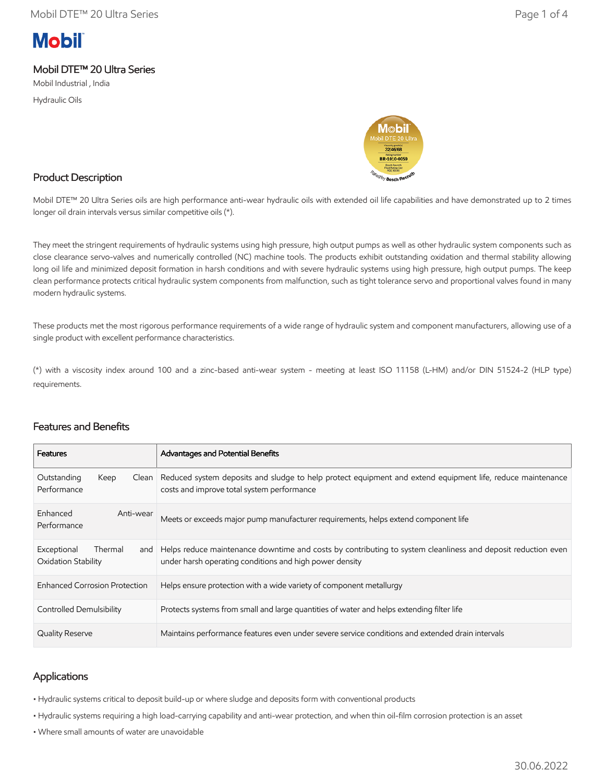# **Mobil**

## Mobil DTE™ 20 Ultra Series

Mobil Industrial , India

Hydraulic Oils



### Product Description

Mobil DTE™ 20 Ultra Series oils are high performance anti-wear hydraulic oils with extended oil life capabilities and have demonstrated up to 2 times longer oil drain intervals versus similar competitive oils (\*).

They meet the stringent requirements of hydraulic systems using high pressure, high output pumps as well as other hydraulic system components such as close clearance servo-valves and numerically controlled (NC) machine tools. The products exhibit outstanding oxidation and thermal stability allowing long oil life and minimized deposit formation in harsh conditions and with severe hydraulic systems using high pressure, high output pumps. The keep clean performance protects critical hydraulic system components from malfunction, such as tight tolerance servo and proportional valves found in many modern hydraulic systems.

These products met the most rigorous performance requirements of a wide range of hydraulic system and component manufacturers, allowing use of a single product with excellent performance characteristics.

(\*) with a viscosity index around 100 and a zinc-based anti-wear system - meeting at least ISO 11158 (L-HM) and/or DIN 51524-2 (HLP type) requirements.

| <b>Features</b>                                      | Advantages and Potential Benefits                                                                                                                                       |
|------------------------------------------------------|-------------------------------------------------------------------------------------------------------------------------------------------------------------------------|
| Outstanding<br>Keep<br>Clean<br>Performance          | Reduced system deposits and sludge to help protect equipment and extend equipment life, reduce maintenance<br>costs and improve total system performance                |
| Enhanced<br>Anti-wear<br>Performance                 | Meets or exceeds major pump manufacturer requirements, helps extend component life                                                                                      |
| Exceptional<br>Thermal<br>and<br>Oxidation Stability | Helps reduce maintenance downtime and costs by contributing to system cleanliness and deposit reduction even<br>under harsh operating conditions and high power density |
| <b>Enhanced Corrosion Protection</b>                 | Helps ensure protection with a wide variety of component metallurgy                                                                                                     |
| Controlled Demulsibility                             | Protects systems from small and large quantities of water and helps extending filter life                                                                               |
| Quality Reserve                                      | Maintains performance features even under severe service conditions and extended drain intervals                                                                        |

## Features and Benefits

### Applications

• Hydraulic systems critical to deposit build-up or where sludge and deposits form with conventional products

• Hydraulic systems requiring a high load-carrying capability and anti-wear protection, and when thin oil-film corrosion protection is an asset

• Where small amounts of water are unavoidable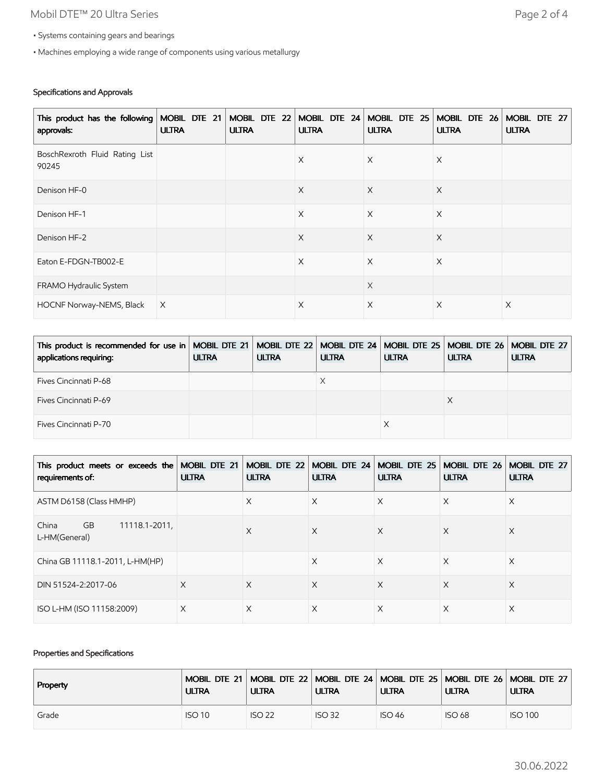## Mobil DTE™ 20 Ultra Series **Page 2 of 4**

- Systems containing gears and bearings
- Machines employing a wide range of components using various metallurgy

#### Specifications and Approvals

| This product has the following   MOBIL DTE 21   MOBIL DTE 22   MOBIL DTE 24   MOBIL DTE 25  <br>approvals: | <b>ULTRA</b> | <b>ULTRA</b> | <b>ULTRA</b> | <b>ULTRA</b> | MOBIL DTE 26<br><b>ULTRA</b> | MOBIL DTE 27<br><b>ULTRA</b> |
|------------------------------------------------------------------------------------------------------------|--------------|--------------|--------------|--------------|------------------------------|------------------------------|
| BoschRexroth Fluid Rating List<br>90245                                                                    |              |              | X            | $\times$     | X                            |                              |
| Denison HF-0                                                                                               |              |              | $\times$     | $\times$     | X                            |                              |
| Denison HF-1                                                                                               |              |              | $\times$     | $\times$     | $\times$                     |                              |
| Denison HF-2                                                                                               |              |              | $\times$     | $\times$     | $\times$                     |                              |
| Eaton E-FDGN-TB002-E                                                                                       |              |              | X            | $\times$     | $\times$                     |                              |
| FRAMO Hydraulic System                                                                                     |              |              |              | $\times$     |                              |                              |
| HOCNF Norway-NEMS, Black                                                                                   | $\times$     |              | X            | $\times$     | $\times$                     | X                            |

| This product is recommended for use in   MOBIL DTE 21   MOBIL DTE 22   MOBIL DTE 24   MOBIL DTE 25   MOBIL DTE 26   MOBIL DTE 27  <br>applications requiring: | <b>ULTRA</b> | <b>ULTRA</b> | <b>ULTRA</b> | <b>ULTRA</b> | <b>ULTRA</b> | <b>ULTRA</b> |
|---------------------------------------------------------------------------------------------------------------------------------------------------------------|--------------|--------------|--------------|--------------|--------------|--------------|
| Fives Cincinnati P-68                                                                                                                                         |              |              | Х            |              |              |              |
| <b>Fives Cincinnati P-69</b>                                                                                                                                  |              |              |              |              |              |              |
| Fives Cincinnati P-70                                                                                                                                         |              |              |              |              |              |              |

| This product meets or exceeds the<br>requirements of: | MOBIL DTE 21<br><b>ULTRA</b> | MOBIL DTE 22<br><b>ULTRA</b> | MOBIL DTE 24<br><b>ULTRA</b> | MOBIL DTE 25<br><b>ULTRA</b> | MOBIL DTE 26<br><b>ULTRA</b> | MOBIL DTE 27<br><b>ULTRA</b> |
|-------------------------------------------------------|------------------------------|------------------------------|------------------------------|------------------------------|------------------------------|------------------------------|
| ASTM D6158 (Class HMHP)                               |                              | X                            | X                            | X                            | Χ                            | X                            |
| <b>GB</b><br>11118.1-2011,<br>China<br>L-HM(General)  |                              | X                            | $\times$                     | $\times$                     | X                            | X                            |
| China GB 11118.1-2011, L-HM(HP)                       |                              |                              | X                            | X                            | X                            | X                            |
| DIN 51524-2:2017-06                                   | X                            | X                            | X                            | $\times$                     | X                            | X                            |
| ISO L-HM (ISO 11158:2009)                             | X                            | X                            | X                            | X                            | X                            | X                            |

#### Properties and Specifications

| <b>Property</b> | <b>ULTRA</b>  | <b>ULTRA</b>  | <b>ULTRA</b>  | <b>ULTRA</b>  | <b>ULTRA</b>  | Mobil DTE 21   Mobil DTE 22   Mobil DTE 24   Mobil DTE 25   Mobil DTE 26   Mobil DTE 27  <br><b>ULTRA</b> |
|-----------------|---------------|---------------|---------------|---------------|---------------|-----------------------------------------------------------------------------------------------------------|
| Grade           | <b>ISO 10</b> | <b>ISO 22</b> | <b>ISO 32</b> | <b>ISO 46</b> | <b>ISO 68</b> | <b>ISO 100</b>                                                                                            |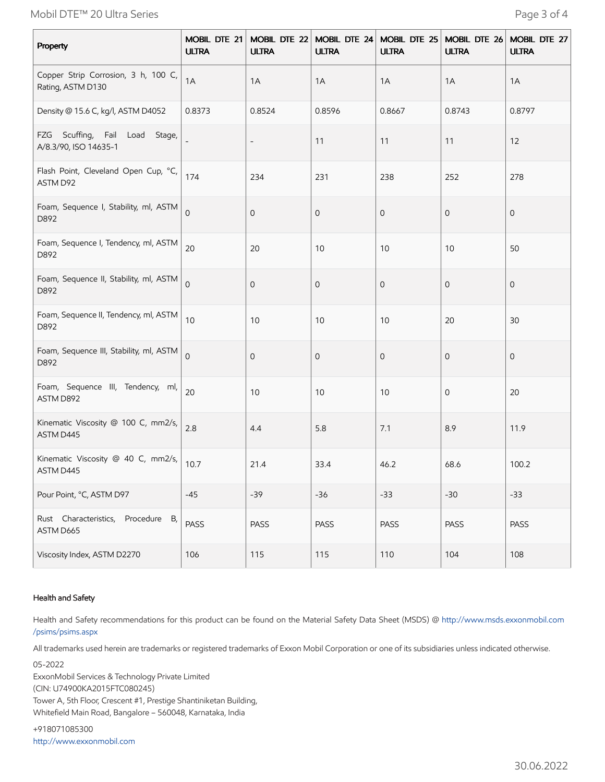Mobil DTE™ 20 Ultra Series **Page 3 of 4** 

| Property                                                 | MOBIL DTE 21<br><b>ULTRA</b> | MOBIL DTE 22<br><b>ULTRA</b> | MOBIL DTE 24<br><b>ULTRA</b> | MOBIL DTE 25<br><b>ULTRA</b> | MOBIL DTE 26<br><b>ULTRA</b> | MOBIL DTE 27<br><b>ULTRA</b> |
|----------------------------------------------------------|------------------------------|------------------------------|------------------------------|------------------------------|------------------------------|------------------------------|
| Copper Strip Corrosion, 3 h, 100 C,<br>Rating, ASTM D130 | 1A                           | 1A                           | 1A                           | 1A                           | 1A                           | 1A                           |
| Density @ 15.6 C, kg/l, ASTM D4052                       | 0.8373                       | 0.8524                       | 0.8596                       | 0.8667                       | 0.8743                       | 0.8797                       |
| FZG Scuffing, Fail Load Stage,<br>A/8.3/90, ISO 14635-1  |                              | $\qquad \qquad -$            | 11                           | 11                           | 11                           | 12                           |
| Flash Point, Cleveland Open Cup, °C,<br>ASTM D92         | 174                          | 234                          | 231                          | 238                          | 252                          | 278                          |
| Foam, Sequence I, Stability, ml, ASTM<br>D892            | $\mathbf 0$                  | $\mathbf 0$                  | $\mathbf 0$                  | $\mathbf 0$                  | $\mathbf 0$                  | $\mathbf 0$                  |
| Foam, Sequence I, Tendency, ml, ASTM<br>D892             | 20                           | 20                           | 10                           | 10                           | 10                           | 50                           |
| Foam, Sequence II, Stability, ml, ASTM<br>D892           | $\Omega$                     | $\mathbf 0$                  | $\mathbf 0$                  | $\mathbf 0$                  | $\mathbf 0$                  | $\mathbf 0$                  |
| Foam, Sequence II, Tendency, ml, ASTM<br>D892            | 10                           | 10                           | $10$                         | 10                           | 20                           | 30                           |
| Foam, Sequence III, Stability, ml, ASTM<br>D892          | $\overline{0}$               | $\mathbf 0$                  | $\mathbf 0$                  | $\mathbf 0$                  | $\mathbf 0$                  | $\mathbf 0$                  |
| Foam, Sequence III, Tendency, ml,<br>ASTM D892           | 20                           | 10                           | 10                           | 10                           | $\mathbf 0$                  | 20                           |
| Kinematic Viscosity @ 100 C, mm2/s,<br>ASTM D445         | 2.8                          | 4.4                          | 5.8                          | 7.1                          | 8.9                          | 11.9                         |
| Kinematic Viscosity @ 40 C, mm2/s,<br>ASTM D445          | 10.7                         | 21.4                         | 33.4                         | 46.2                         | 68.6                         | 100.2                        |
| Pour Point, °C, ASTM D97                                 | $-45$                        | $-39$                        | $-36$                        | $-33$                        | $-30$                        | $-33$                        |
| Rust Characteristics, Procedure B,<br>ASTM D665          | PASS                         | PASS                         | PASS                         | PASS                         | PASS                         | <b>PASS</b>                  |
| Viscosity Index, ASTM D2270                              | 106                          | 115                          | 115                          | 110                          | 104                          | 108                          |

#### Health and Safety

Health and Safety recommendations for this product can be found on the Material Safety Data Sheet (MSDS) @ [http://www.msds.exxonmobil.com](http://www.msds.exxonmobil.com/psims/psims.aspx) /psims/psims.aspx

All trademarks used herein are trademarks or registered trademarks of Exxon Mobil Corporation or one of its subsidiaries unless indicated otherwise.

05-2022 ExxonMobil Services & Technology Private Limited (CIN: U74900KA2015FTC080245) Tower A, 5th Floor, Crescent #1, Prestige Shantiniketan Building, Whitefield Main Road, Bangalore – 560048, Karnataka, India

+918071085300 [http://www.exxonmobil.com](http://www.exxonmobil.com/)